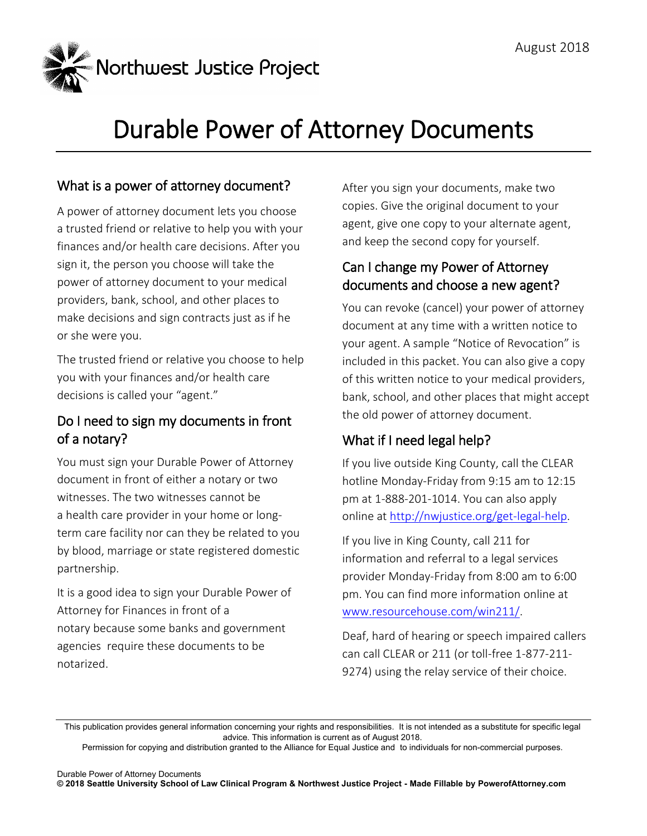

# Durable Power of Attorney Documents

#### What is a power of attorney document?

A power of attorney document lets you choose a trusted friend or relative to help you with your finances and/or health care decisions. After you sign it, the person you choose will take the power of attorney document to your medical providers, bank, school, and other places to make decisions and sign contracts just as if he or she were you.

The trusted friend or relative you choose to help you with your finances and/or health care decisions is called your "agent."

#### Do I need to sign my documents in front of a notary?

You must sign your Durable Power of Attorney document in front of either a notary or two witnesses. The two witnesses cannot be a health care provider in your home or longterm care facility nor can they be related to you by blood, marriage or state registered domestic partnership.

It is a good idea to sign your Durable Power of Attorney for Finances in front of a notary because some banks and government agencies require these documents to be notarized.

After you sign your documents, make two copies. Give the original document to your agent, give one copy to your alternate agent, and keep the second copy for yourself.

#### Can I change my Power of Attorney documents and choose a new agent?

You can revoke (cancel) your power of attorney document at any time with a written notice to your agent. A sample "Notice of Revocation" is included in this packet. You can also give a copy of this written notice to your medical providers, bank, school, and other places that might accept the old power of attorney document.

### What if I need legal help?

If you live outside King County, call the CLEAR hotline Monday-Friday from 9:15 am to 12:15 pm at 1-888-201-1014. You can also apply online at http://nwjustice.org/get-legal-help.

If you live in King County, call 211 for information and referral to a legal services provider Monday-Friday from 8:00 am to 6:00 pm. You can find more information online at www.resourcehouse.com/win211/.

Deaf, hard of hearing or speech impaired callers can call CLEAR or 211 (or toll-free 1-877-211- 9274) using the relay service of their choice.

This publication provides general information concerning your rights and responsibilities. It is not intended as a substitute for specific legal advice. This information is current as of August 2018.

Permission for copying and distribution granted to the Alliance for Equal Justice and to individuals for non-commercial purposes.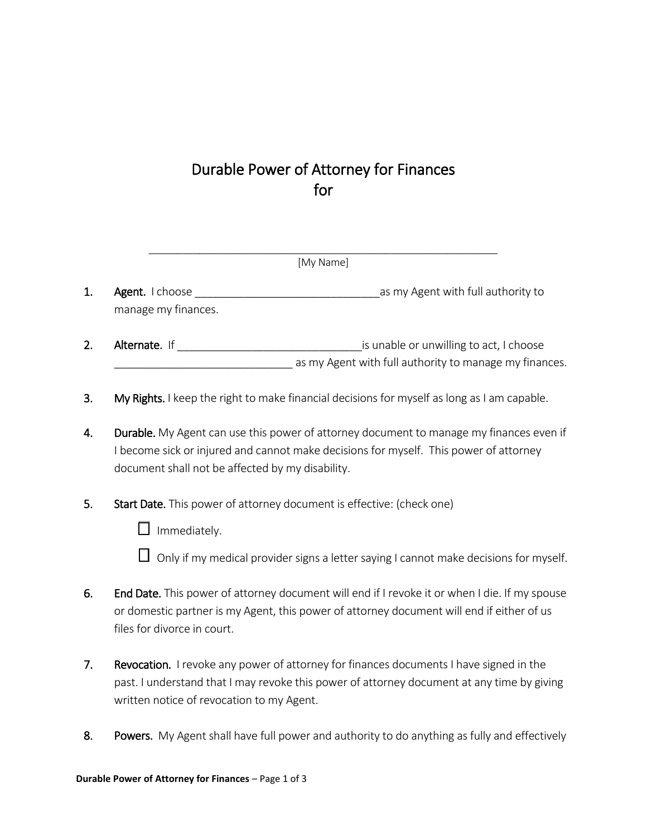## Durable Power of Attorney for Finances for

\_\_\_\_\_\_\_\_\_\_\_\_\_\_\_\_\_\_\_\_\_\_\_\_\_\_\_\_\_\_\_\_\_\_\_\_\_\_\_\_\_\_\_\_\_\_\_\_\_\_\_\_\_\_\_\_\_\_\_\_\_\_

| [My Name] |                                               |                                                                                                   |
|-----------|-----------------------------------------------|---------------------------------------------------------------------------------------------------|
|           | <b>Agent.</b> I choose<br>manage my finances. | as my Agent with full authority to                                                                |
|           | Alternate. If                                 | is unable or unwilling to act, I choose<br>as my Agent with full authority to manage my finances. |

- 3. My Rights. I keep the right to make financial decisions for myself as long as I am capable.
- 4. Durable. My Agent can use this power of attorney document to manage my finances even if I become sick or injured and cannot make decisions for myself. This power of attorney document shall not be affected by my disability.
- 5. Start Date. This power of attorney document is effective: (check one)
	- $\Box$  Immediately.
	- $\Box$  Only if my medical provider signs a letter saying I cannot make decisions for myself.
- 6. End Date. This power of attorney document will end if I revoke it or when I die. If my spouse or domestic partner is my Agent, this power of attorney document will end if either of us files for divorce in court.
- 7. Revocation. I revoke any power of attorney for finances documents I have signed in the past. I understand that I may revoke this power of attorney document at any time by giving written notice of revocation to my Agent.
- 8. Powers. My Agent shall have full power and authority to do anything as fully and effectively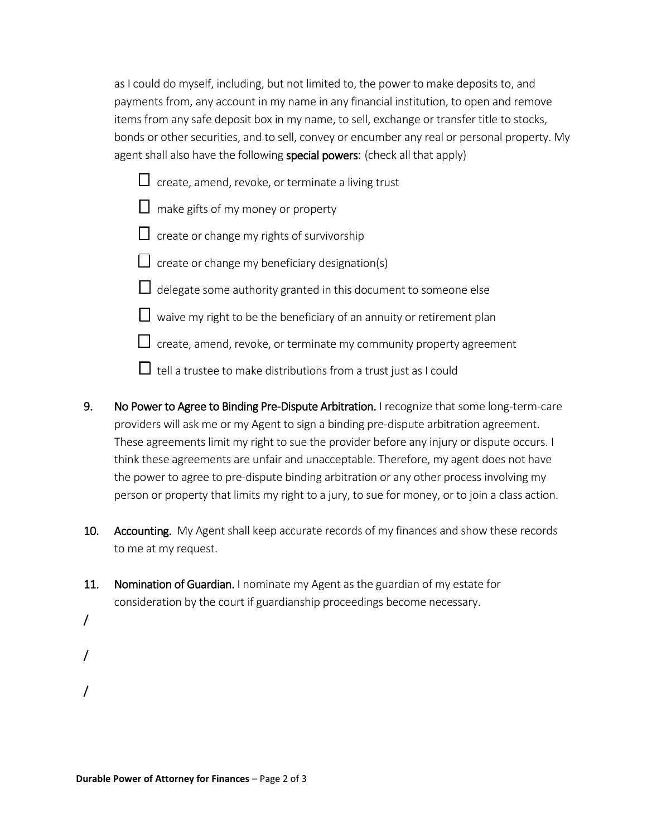as I could do myself, including, but not limited to, the power to make deposits to, and payments from, any account in my name in any financial institution, to open and remove items from any safe deposit box in my name, to sell, exchange or transfer title to stocks, bonds or other securities, and to sell, convey or encumber any real or personal property. My agent shall also have the following special powers: (check all that apply)

- $\Box$  create, amend, revoke, or terminate a living trust
- $\Box$  make gifts of my money or property
- $\Box$  create or change my rights of survivorship
- $\Box$  create or change my beneficiary designation(s)
- $\Box$  delegate some authority granted in this document to someone else
- $\Box$  waive my right to be the beneficiary of an annuity or retirement plan
- $\Box$  create, amend, revoke, or terminate my community property agreement
- $\Box$  tell a trustee to make distributions from a trust just as I could
- 9. No Power to Agree to Binding Pre-Dispute Arbitration. I recognize that some long-term-care providers will ask me or my Agent to sign a binding pre-dispute arbitration agreement. These agreements limit my right to sue the provider before any injury or dispute occurs. I think these agreements are unfair and unacceptable. Therefore, my agent does not have the power to agree to pre-dispute binding arbitration or any other process involving my person or property that limits my right to a jury, to sue for money, or to join a class action.
- 10. Accounting. My Agent shall keep accurate records of my finances and show these records to me at my request.
- 11. Nomination of Guardian. I nominate my Agent as the guardian of my estate for consideration by the court if guardianship proceedings become necessary.
- /
- /
- /